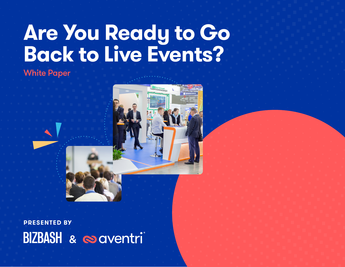# **Are You Ready to Go Back to Live Events?**

## White Paper



**PRESENTED BY** BIZBASH & @aventri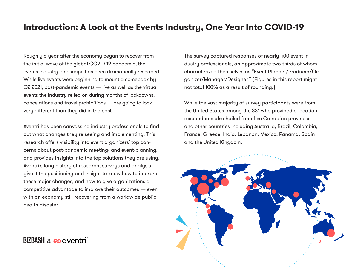### **Introduction: A Look at the Events Industry, One Year Into COVID-19**

Roughly a year after the economy began to recover from the initial wave of the global COVID-19 pandemic, the events industry landscape has been dramatically reshaped. While live events were beginning to mount a comeback by Q2 2021, post-pandemic events — live as well as the virtual events the industry relied on during months of lockdowns, cancelations and travel prohibitions — are going to look very different than they did in the past.

Aventri has been canvassing industry professionals to find out what changes they're seeing and implementing. This research offers visibility into event organizers' top concerns about post-pandemic meeting- and event-planning, and provides insights into the top solutions they are using. Aventri's long history of research, surveys and analysis give it the positioning and insight to know how to interpret these major changes, and how to give organizations a competitive advantage to improve their outcomes — even with an economy still recovering from a worldwide public health disaster.

The survey captured responses of nearly 400 event industry professionals, an approximate two-thirds of whom characterized themselves as "Event Planner/Producer/Organizer/Manager/Designer." (Figures in this report might not total 100% as a result of rounding.)

While the vast majority of survey participants were from the United States among the 331 who provided a location, respondents also hailed from five Canadian provinces and other countries including Australia, Brazil, Colombia, France, Greece, India, Lebanon, Mexico, Panama, Spain and the United Kingdom.



 $BIZBASH \approx \infty$  aventri